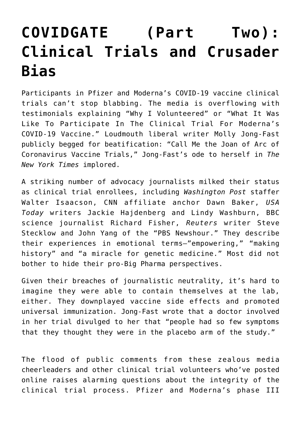## **[COVIDGATE \(Part Two\):](https://intellectualtakeout.org/2020/11/covidgate-part-two-clinical-trials-and-crusader-bias/) [Clinical Trials and Crusader](https://intellectualtakeout.org/2020/11/covidgate-part-two-clinical-trials-and-crusader-bias/) [Bias](https://intellectualtakeout.org/2020/11/covidgate-part-two-clinical-trials-and-crusader-bias/)**

Participants in Pfizer and Moderna's COVID-19 vaccine clinical trials can't stop blabbing. The media is overflowing with testimonials explaining "Why I Volunteered" or "What It Was Like To Participate In The Clinical Trial For Moderna's COVID-19 Vaccine." Loudmouth liberal writer Molly Jong-Fast publicly begged for beatification: "Call Me the Joan of Arc of Coronavirus Vaccine Trials," Jong-Fast's ode to herself in *The New York Times* implored.

A striking number of advocacy journalists milked their status as clinical trial enrollees, including *Washington Post* staffer Walter Isaacson, CNN affiliate anchor Dawn Baker, *USA Today* writers Jackie Hajdenberg and Lindy Washburn, BBC science journalist Richard Fisher, *Reuters* writer Steve Stecklow and John Yang of the "PBS Newshour." They describe their experiences in emotional terms—"empowering," "making history" and "a miracle for genetic medicine." Most did not bother to hide their pro-Big Pharma perspectives.

Given their breaches of journalistic neutrality, it's hard to imagine they were able to contain themselves at the lab, either. They downplayed vaccine side effects and promoted universal immunization. Jong-Fast wrote that a doctor involved in her trial divulged to her that "people had so few symptoms that they thought they were in the placebo arm of the study."

The flood of public comments from these zealous media cheerleaders and other clinical trial volunteers who've posted online raises alarming questions about the integrity of the clinical trial process. Pfizer and Moderna's phase III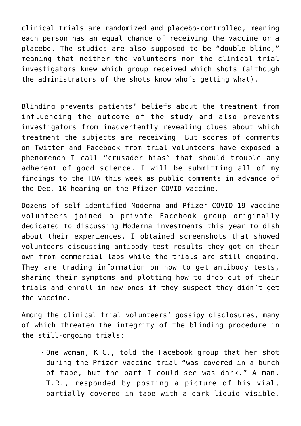clinical trials are randomized and placebo-controlled, meaning each person has an equal chance of receiving the vaccine or a placebo. The studies are also supposed to be "double-blind," meaning that neither the volunteers nor the clinical trial investigators knew which group received which shots (although the administrators of the shots know who's getting what).

Blinding prevents patients' beliefs about the treatment from influencing the outcome of the study and also prevents investigators from inadvertently revealing clues about which treatment the subjects are receiving. But scores of comments on Twitter and Facebook from trial volunteers have exposed a phenomenon I call "crusader bias" that should trouble any adherent of good science. I will be submitting all of my findings to the FDA this week as public comments in advance of the Dec. 10 hearing on the Pfizer COVID vaccine.

Dozens of self-identified Moderna and Pfizer COVID-19 vaccine volunteers joined a private Facebook group originally dedicated to discussing Moderna investments this year to dish about their experiences. I obtained screenshots that showed volunteers discussing antibody test results they got on their own from commercial labs while the trials are still ongoing. They are trading information on how to get antibody tests, sharing their symptoms and plotting how to drop out of their trials and enroll in new ones if they suspect they didn't get the vaccine.

Among the clinical trial volunteers' gossipy disclosures, many of which threaten the integrity of the blinding procedure in the still-ongoing trials:

One woman, K.C., told the Facebook group that her shot during the Pfizer vaccine trial "was covered in a bunch of tape, but the part I could see was dark." A man, T.R., responded by posting a picture of his vial, partially covered in tape with a dark liquid visible.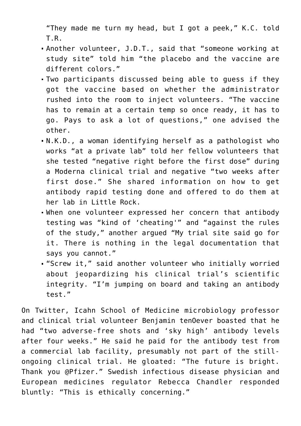"They made me turn my head, but I got a peek," K.C. told T.R.

- Another volunteer, J.D.T., said that "someone working at study site" told him "the placebo and the vaccine are different colors."
- Two participants discussed being able to guess if they got the vaccine based on whether the administrator rushed into the room to inject volunteers. "The vaccine has to remain at a certain temp so once ready, it has to go. Pays to ask a lot of questions," one advised the other.
- N.K.D., a woman identifying herself as a pathologist who works "at a private lab" told her fellow volunteers that she tested "negative right before the first dose" during a Moderna clinical trial and negative "two weeks after first dose." She shared information on how to get antibody rapid testing done and offered to do them at her lab in Little Rock.
- When one volunteer expressed her concern that antibody testing was "kind of 'cheating'" and "against the rules of the study," another argued "My trial site said go for it. There is nothing in the legal documentation that says you cannot."
- "Screw it," said another volunteer who initially worried about jeopardizing his clinical trial's scientific integrity. "I'm jumping on board and taking an antibody test."

On Twitter, Icahn School of Medicine microbiology professor and clinical trial volunteer Benjamin tenOever boasted that he had "two adverse-free shots and 'sky high' antibody levels after four weeks." He said he paid for the antibody test from a commercial lab facility, presumably not part of the stillongoing clinical trial. He gloated: "The future is bright. Thank you @Pfizer." Swedish infectious disease physician and European medicines regulator Rebecca Chandler responded bluntly: "This is ethically concerning."